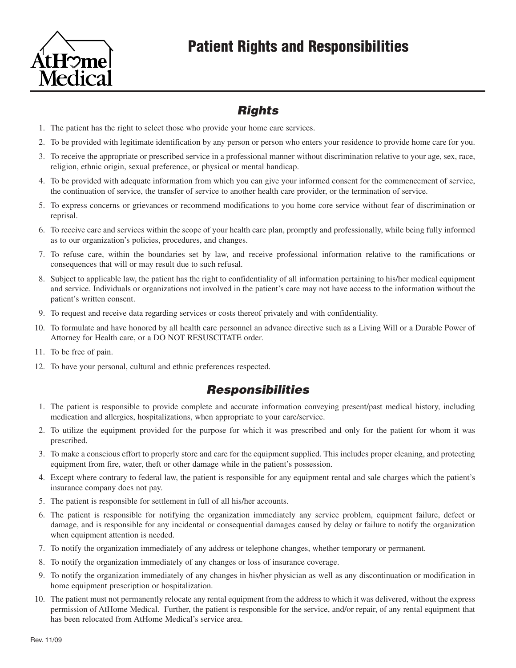



### *Rights*

- 1. The patient has the right to select those who provide your home care services.
- 2. To be provided with legitimate identification by any person or person who enters your residence to provide home care for you.
- 3. To receive the appropriate or prescribed service in a professional manner without discrimination relative to your age, sex, race, religion, ethnic origin, sexual preference, or physical or mental handicap.
- 4. To be provided with adequate information from which you can give your informed consent for the commencement of service, the continuation of service, the transfer of service to another health care provider, or the termination of service.
- 5. To express concerns or grievances or recommend modifications to you home core service without fear of discrimination or reprisal.
- 6. To receive care and services within the scope of your health care plan, promptly and professionally, while being fully informed as to our organization's policies, procedures, and changes.
- 7. To refuse care, within the boundaries set by law, and receive professional information relative to the ramifications or consequences that will or may result due to such refusal.
- 8. Subject to applicable law, the patient has the right to confidentiality of all information pertaining to his/her medical equipment and service. Individuals or organizations not involved in the patient's care may not have access to the information without the patient's written consent.
- 9. To request and receive data regarding services or costs thereof privately and with confidentiality.
- 10. To formulate and have honored by all health care personnel an advance directive such as a Living Will or a Durable Power of Attorney for Health care, or a DO NOT RESUSCITATE order.
- 11. To be free of pain.
- 12. To have your personal, cultural and ethnic preferences respected.

### *Responsibilities*

- 1. The patient is responsible to provide complete and accurate information conveying present/past medical history, including medication and allergies, hospitalizations, when appropriate to your care/service.
- 2. To utilize the equipment provided for the purpose for which it was prescribed and only for the patient for whom it was prescribed.
- 3. To make a conscious effort to properly store and care for the equipment supplied. This includes proper cleaning, and protecting equipment from fire, water, theft or other damage while in the patient's possession.
- 4. Except where contrary to federal law, the patient is responsible for any equipment rental and sale charges which the patient's insurance company does not pay.
- 5. The patient is responsible for settlement in full of all his/her accounts.
- 6. The patient is responsible for notifying the organization immediately any service problem, equipment failure, defect or damage, and is responsible for any incidental or consequential damages caused by delay or failure to notify the organization when equipment attention is needed.
- 7. To notify the organization immediately of any address or telephone changes, whether temporary or permanent.
- 8. To notify the organization immediately of any changes or loss of insurance coverage.
- 9. To notify the organization immediately of any changes in his/her physician as well as any discontinuation or modification in home equipment prescription or hospitalization.
- 10. The patient must not permanently relocate any rental equipment from the address to which it was delivered, without the express permission of AtHome Medical. Further, the patient is responsible for the service, and/or repair, of any rental equipment that has been relocated from AtHome Medical's service area.